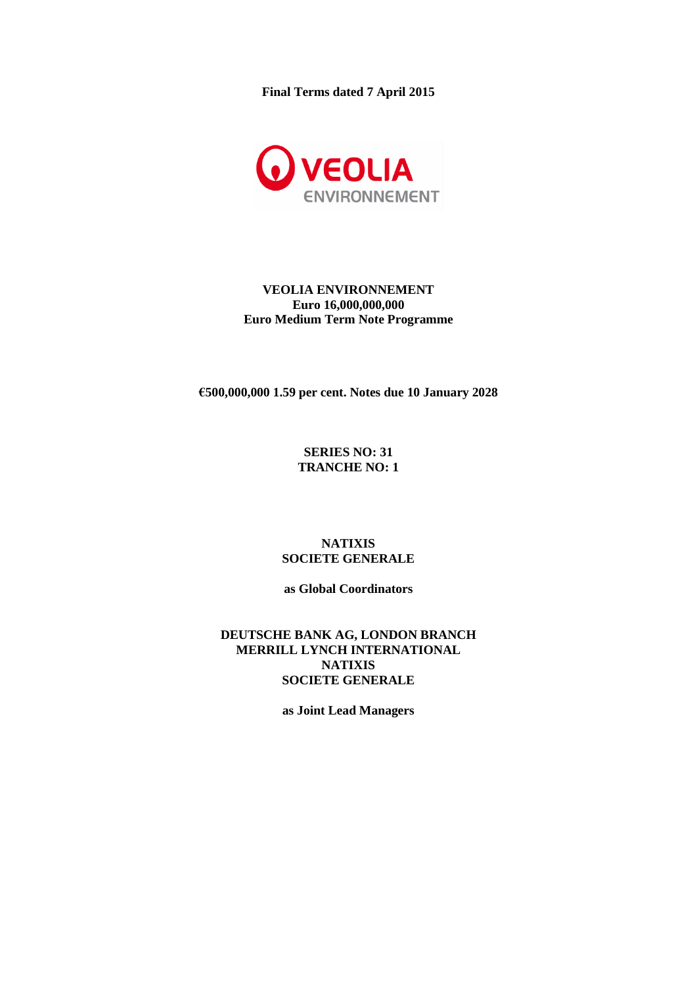**Final Terms dated 7 April 2015**



## **VEOLIA ENVIRONNEMENT Euro 16,000,000,000 Euro Medium Term Note Programme**

**€500,000,000 1.59 per cent. Notes due 10 January 2028**

## **SERIES NO: 31 TRANCHE NO: 1**

## **NATIXIS SOCIETE GENERALE**

**as Global Coordinators**

**DEUTSCHE BANK AG, LONDON BRANCH MERRILL LYNCH INTERNATIONAL NATIXIS SOCIETE GENERALE**

**as Joint Lead Managers**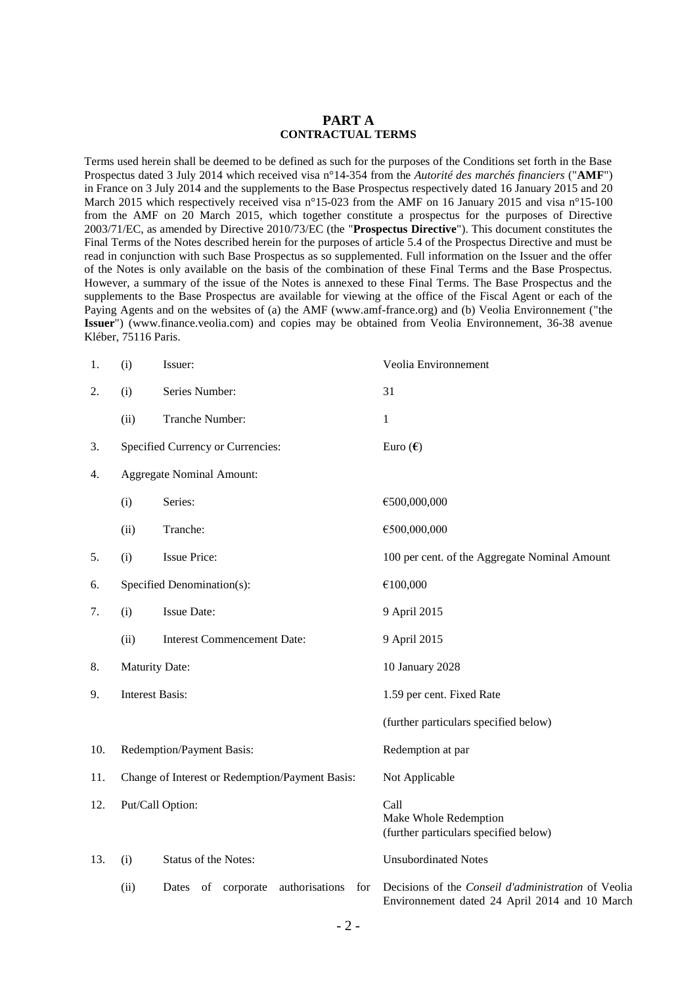#### **PART A CONTRACTUAL TERMS**

Terms used herein shall be deemed to be defined as such for the purposes of the Conditions set forth in the Base Prospectus dated 3 July 2014 which received visa n°14-354 from the *Autorité des marchés financiers* ("**AMF**") in France on 3 July 2014 and the supplements to the Base Prospectus respectively dated 16 January 2015 and 20 March 2015 which respectively received visa n°15-023 from the AMF on 16 January 2015 and visa n°15-100 from the AMF on 20 March 2015, which together constitute a prospectus for the purposes of Directive 2003/71/EC, as amended by Directive 2010/73/EC (the "**Prospectus Directive**"). This document constitutes the Final Terms of the Notes described herein for the purposes of article 5.4 of the Prospectus Directive and must be read in conjunction with such Base Prospectus as so supplemented. Full information on the Issuer and the offer of the Notes is only available on the basis of the combination of these Final Terms and the Base Prospectus. However, a summary of the issue of the Notes is annexed to these Final Terms. The Base Prospectus and the supplements to the Base Prospectus are available for viewing at the office of the Fiscal Agent or each of the Paying Agents and on the websites of (a) the AMF (www.amf-france.org) and (b) Veolia Environnement ("the **Issuer**") [\(www.finance.veolia.com\)](http://www.veolia.com/) and copies may be obtained from Veolia Environnement, 36-38 avenue Kléber, 75116 Paris.

| 1.  | (i)                                             | Issuer:                                        | Veolia Environnement                                                                                  |
|-----|-------------------------------------------------|------------------------------------------------|-------------------------------------------------------------------------------------------------------|
| 2.  | (i)                                             | Series Number:                                 | 31                                                                                                    |
|     | (ii)                                            | Tranche Number:                                | $\mathbf{1}$                                                                                          |
| 3.  | Specified Currency or Currencies:               |                                                | Euro $(\epsilon)$                                                                                     |
| 4.  |                                                 | <b>Aggregate Nominal Amount:</b>               |                                                                                                       |
|     | (i)                                             | Series:                                        | €500,000,000                                                                                          |
|     | (ii)                                            | Tranche:                                       | €500,000,000                                                                                          |
| 5.  | (i)                                             | <b>Issue Price:</b>                            | 100 per cent. of the Aggregate Nominal Amount                                                         |
| 6.  | Specified Denomination(s):                      |                                                | €100,000                                                                                              |
| 7.  | (i)                                             | <b>Issue Date:</b>                             | 9 April 2015                                                                                          |
|     | (ii)                                            | <b>Interest Commencement Date:</b>             | 9 April 2015                                                                                          |
| 8.  | <b>Maturity Date:</b>                           |                                                | 10 January 2028                                                                                       |
| 9.  | <b>Interest Basis:</b>                          |                                                | 1.59 per cent. Fixed Rate                                                                             |
|     |                                                 |                                                | (further particulars specified below)                                                                 |
| 10. | Redemption/Payment Basis:                       |                                                | Redemption at par                                                                                     |
| 11. | Change of Interest or Redemption/Payment Basis: |                                                | Not Applicable                                                                                        |
| 12. | Put/Call Option:                                |                                                | Call<br>Make Whole Redemption<br>(further particulars specified below)                                |
| 13. | (i)                                             | Status of the Notes:                           | <b>Unsubordinated Notes</b>                                                                           |
|     | (ii)                                            | authorisations<br>of corporate<br>for<br>Dates | Decisions of the Conseil d'administration of Veolia<br>Environnement dated 24 April 2014 and 10 March |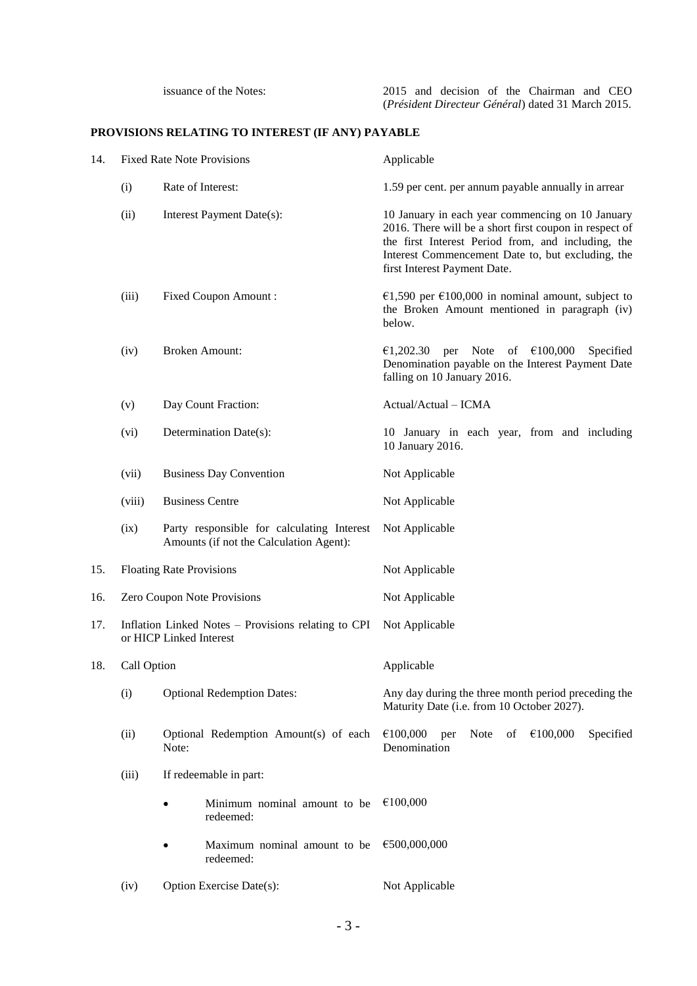# **PROVISIONS RELATING TO INTEREST (IF ANY) PAYABLE**

| 14.                      | <b>Fixed Rate Note Provisions</b>                                              |                                                                                       | Applicable                                                                                                                                                                                                                                            |  |
|--------------------------|--------------------------------------------------------------------------------|---------------------------------------------------------------------------------------|-------------------------------------------------------------------------------------------------------------------------------------------------------------------------------------------------------------------------------------------------------|--|
| Rate of Interest:<br>(i) |                                                                                |                                                                                       | 1.59 per cent. per annum payable annually in arrear                                                                                                                                                                                                   |  |
|                          | (ii)                                                                           | Interest Payment Date(s):                                                             | 10 January in each year commencing on 10 January<br>2016. There will be a short first coupon in respect of<br>the first Interest Period from, and including, the<br>Interest Commencement Date to, but excluding, the<br>first Interest Payment Date. |  |
|                          | (iii)                                                                          | Fixed Coupon Amount:                                                                  | €1,590 per €100,000 in nominal amount, subject to<br>the Broken Amount mentioned in paragraph (iv)<br>below.                                                                                                                                          |  |
|                          | (iv)                                                                           | <b>Broken Amount:</b>                                                                 | per Note of $£100,000$<br>€1,202.30<br>Specified<br>Denomination payable on the Interest Payment Date<br>falling on 10 January 2016.                                                                                                                  |  |
|                          | (v)                                                                            | Day Count Fraction:                                                                   | Actual/Actual - ICMA                                                                                                                                                                                                                                  |  |
|                          | (vi)                                                                           | Determination Date(s):                                                                | 10 January in each year, from and including<br>10 January 2016.                                                                                                                                                                                       |  |
|                          | (vii)                                                                          | <b>Business Day Convention</b>                                                        | Not Applicable                                                                                                                                                                                                                                        |  |
|                          | (viii)                                                                         | <b>Business Centre</b>                                                                | Not Applicable                                                                                                                                                                                                                                        |  |
|                          | (ix)                                                                           | Party responsible for calculating Interest<br>Amounts (if not the Calculation Agent): | Not Applicable                                                                                                                                                                                                                                        |  |
| 15.                      |                                                                                | <b>Floating Rate Provisions</b>                                                       | Not Applicable                                                                                                                                                                                                                                        |  |
| 16.                      | Zero Coupon Note Provisions                                                    |                                                                                       | Not Applicable                                                                                                                                                                                                                                        |  |
| 17.                      | Inflation Linked Notes – Provisions relating to CPI<br>or HICP Linked Interest |                                                                                       | Not Applicable                                                                                                                                                                                                                                        |  |
| 18.                      | Call Option                                                                    |                                                                                       | Applicable                                                                                                                                                                                                                                            |  |
|                          | (i)                                                                            | <b>Optional Redemption Dates:</b>                                                     | Any day during the three month period preceding the<br>Maturity Date (i.e. from 10 October 2027).                                                                                                                                                     |  |
|                          | (ii)                                                                           | Optional Redemption Amount(s) of each<br>Note:                                        | €100,000<br><b>Note</b><br>of<br>€100,000<br>Specified<br>per<br>Denomination                                                                                                                                                                         |  |
|                          | (iii)                                                                          | If redeemable in part:                                                                |                                                                                                                                                                                                                                                       |  |
|                          |                                                                                | Minimum nominal amount to be<br>redeemed:                                             | €100,000                                                                                                                                                                                                                                              |  |
|                          |                                                                                | Maximum nominal amount to be<br>redeemed:                                             | €500,000,000                                                                                                                                                                                                                                          |  |
|                          | (iv)                                                                           | Option Exercise Date(s):                                                              | Not Applicable                                                                                                                                                                                                                                        |  |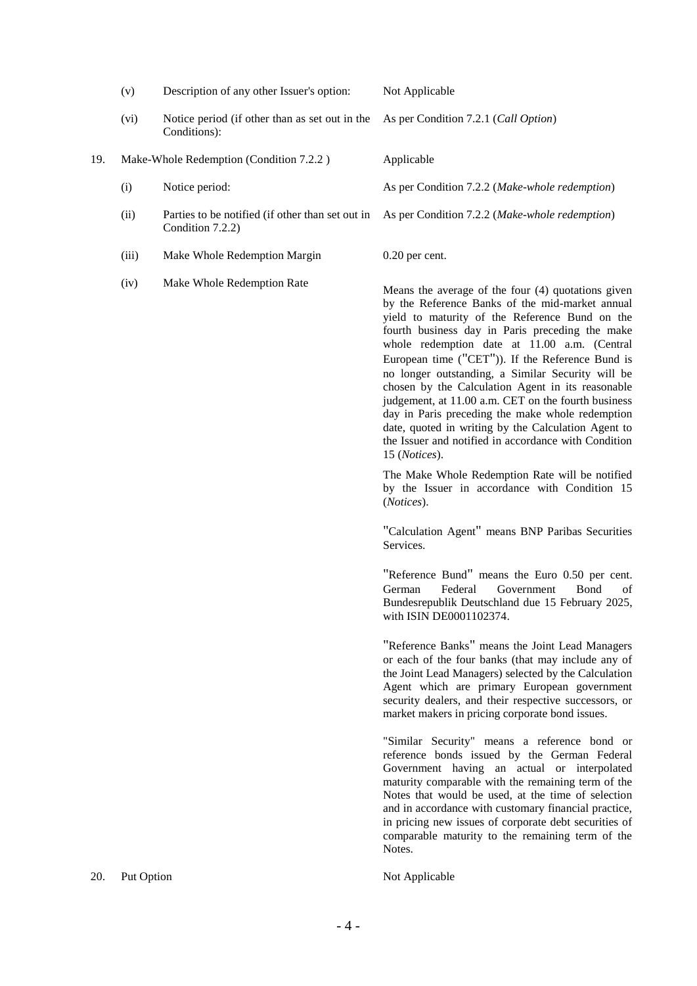|     | (v)                                     | Description of any other Issuer's option:                            | Not Applicable                                                                                                                                                                                                                                                                                                                                                                                                                                                                                                                                                                                                                                                      |
|-----|-----------------------------------------|----------------------------------------------------------------------|---------------------------------------------------------------------------------------------------------------------------------------------------------------------------------------------------------------------------------------------------------------------------------------------------------------------------------------------------------------------------------------------------------------------------------------------------------------------------------------------------------------------------------------------------------------------------------------------------------------------------------------------------------------------|
|     | (vi)                                    | Notice period (if other than as set out in the<br>Conditions):       | As per Condition 7.2.1 (Call Option)                                                                                                                                                                                                                                                                                                                                                                                                                                                                                                                                                                                                                                |
| 19. | Make-Whole Redemption (Condition 7.2.2) |                                                                      | Applicable                                                                                                                                                                                                                                                                                                                                                                                                                                                                                                                                                                                                                                                          |
|     | (i)                                     | Notice period:                                                       | As per Condition 7.2.2 (Make-whole redemption)                                                                                                                                                                                                                                                                                                                                                                                                                                                                                                                                                                                                                      |
|     | (ii)                                    | Parties to be notified (if other than set out in<br>Condition 7.2.2) | As per Condition 7.2.2 (Make-whole redemption)                                                                                                                                                                                                                                                                                                                                                                                                                                                                                                                                                                                                                      |
|     | (iii)                                   | Make Whole Redemption Margin                                         | $0.20$ per cent.                                                                                                                                                                                                                                                                                                                                                                                                                                                                                                                                                                                                                                                    |
|     | (iv)                                    | Make Whole Redemption Rate                                           | Means the average of the four (4) quotations given<br>by the Reference Banks of the mid-market annual<br>yield to maturity of the Reference Bund on the<br>fourth business day in Paris preceding the make<br>whole redemption date at 11.00 a.m. (Central<br>European time ("CET")). If the Reference Bund is<br>no longer outstanding, a Similar Security will be<br>chosen by the Calculation Agent in its reasonable<br>judgement, at 11.00 a.m. CET on the fourth business<br>day in Paris preceding the make whole redemption<br>date, quoted in writing by the Calculation Agent to<br>the Issuer and notified in accordance with Condition<br>15 (Notices). |
|     |                                         |                                                                      | The Make Whole Redemption Rate will be notified<br>by the Issuer in accordance with Condition 15<br>(Notices).                                                                                                                                                                                                                                                                                                                                                                                                                                                                                                                                                      |
|     |                                         |                                                                      | "Calculation Agent" means BNP Paribas Securities<br>Services.                                                                                                                                                                                                                                                                                                                                                                                                                                                                                                                                                                                                       |
|     |                                         |                                                                      | "Reference Bund" means the Euro 0.50 per cent.<br>Federal<br>Government<br>Bond<br>German<br>of<br>Bundesrepublik Deutschland due 15 February 2025,<br>with ISIN DE0001102374.                                                                                                                                                                                                                                                                                                                                                                                                                                                                                      |
|     |                                         |                                                                      | "Reference Banks" means the Joint Lead Managers<br>or each of the four banks (that may include any of<br>the Joint Lead Managers) selected by the Calculation<br>Agent which are primary European government<br>security dealers, and their respective successors, or<br>market makers in pricing corporate bond issues.                                                                                                                                                                                                                                                                                                                                            |
|     |                                         |                                                                      | "Similar Security" means a reference bond or<br>reference bonds issued by the German Federal<br>Government having an actual or interpolated<br>maturity comparable with the remaining term of the<br>Notes that would be used, at the time of selection<br>and in accordance with customary financial practice,<br>in pricing new issues of corporate debt securities of<br>comparable maturity to the remaining term of the<br>Notes.                                                                                                                                                                                                                              |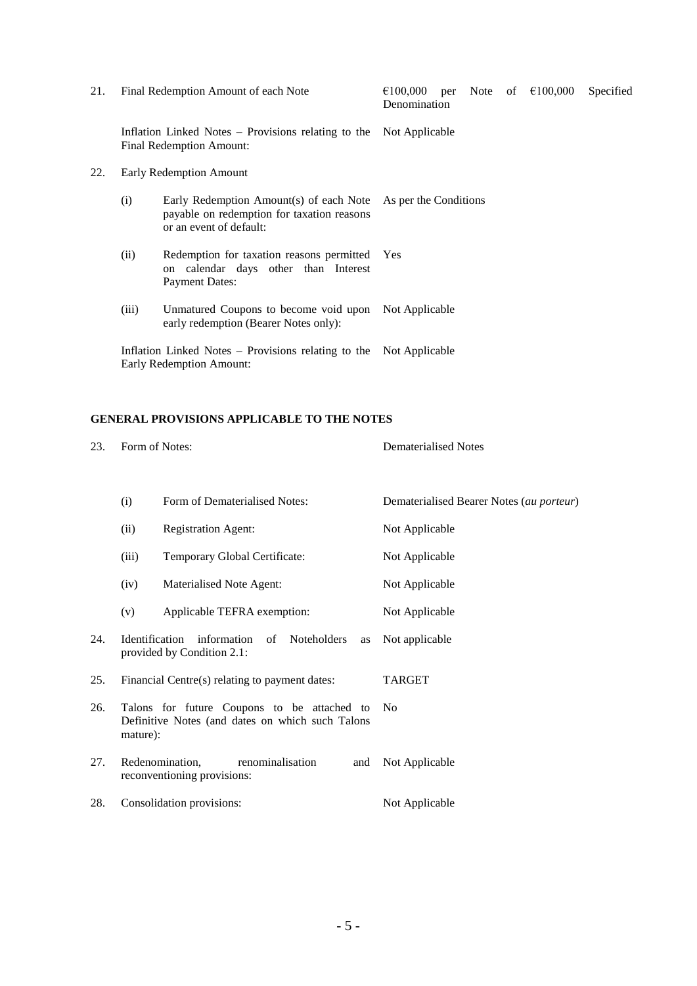| 21. |       | Final Redemption Amount of each Note                                                                             | $\epsilon$ 100,000 per Note of $\epsilon$ 100,000<br>Specified<br>Denomination |
|-----|-------|------------------------------------------------------------------------------------------------------------------|--------------------------------------------------------------------------------|
|     |       | Inflation Linked Notes – Provisions relating to the Not Applicable<br>Final Redemption Amount:                   |                                                                                |
| 22. |       | Early Redemption Amount                                                                                          |                                                                                |
|     | (i)   | Early Redemption Amount(s) of each Note<br>payable on redemption for taxation reasons<br>or an event of default: | As per the Conditions                                                          |
|     | (ii)  | Redemption for taxation reasons permitted<br>on calendar days other than Interest<br><b>Payment Dates:</b>       | Yes                                                                            |
|     | (iii) | Unmatured Coupons to become void upon<br>early redemption (Bearer Notes only):                                   | Not Applicable                                                                 |
|     |       | Inflation Linked Notes – Provisions relating to the Not Applicable<br>Early Redemption Amount:                   |                                                                                |

# **GENERAL PROVISIONS APPLICABLE TO THE NOTES**

| 23. | Form of Notes:                                                                                              |                                                                           | <b>Dematerialised Notes</b>              |
|-----|-------------------------------------------------------------------------------------------------------------|---------------------------------------------------------------------------|------------------------------------------|
|     | (i)                                                                                                         | Form of Dematerialised Notes:                                             | Dematerialised Bearer Notes (au porteur) |
|     | (ii)<br><b>Registration Agent:</b>                                                                          |                                                                           | Not Applicable                           |
|     | (iii)<br>Temporary Global Certificate:                                                                      |                                                                           | Not Applicable                           |
|     | (iv)                                                                                                        | Materialised Note Agent:                                                  | Not Applicable                           |
|     | (v)                                                                                                         | Applicable TEFRA exemption:                                               | Not Applicable                           |
| 24. | <b>Identification</b><br>information<br>of Noteholders<br>as<br>provided by Condition 2.1:                  |                                                                           | Not applicable                           |
| 25. | Financial Centre(s) relating to payment dates:                                                              |                                                                           | <b>TARGET</b>                            |
| 26. | Talons for future Coupons to be attached to<br>Definitive Notes (and dates on which such Talons<br>mature): |                                                                           | N <sub>0</sub>                           |
| 27. |                                                                                                             | Redenomination,<br>renominalisation<br>and<br>reconventioning provisions: | Not Applicable                           |
| 28. |                                                                                                             | Consolidation provisions:                                                 | Not Applicable                           |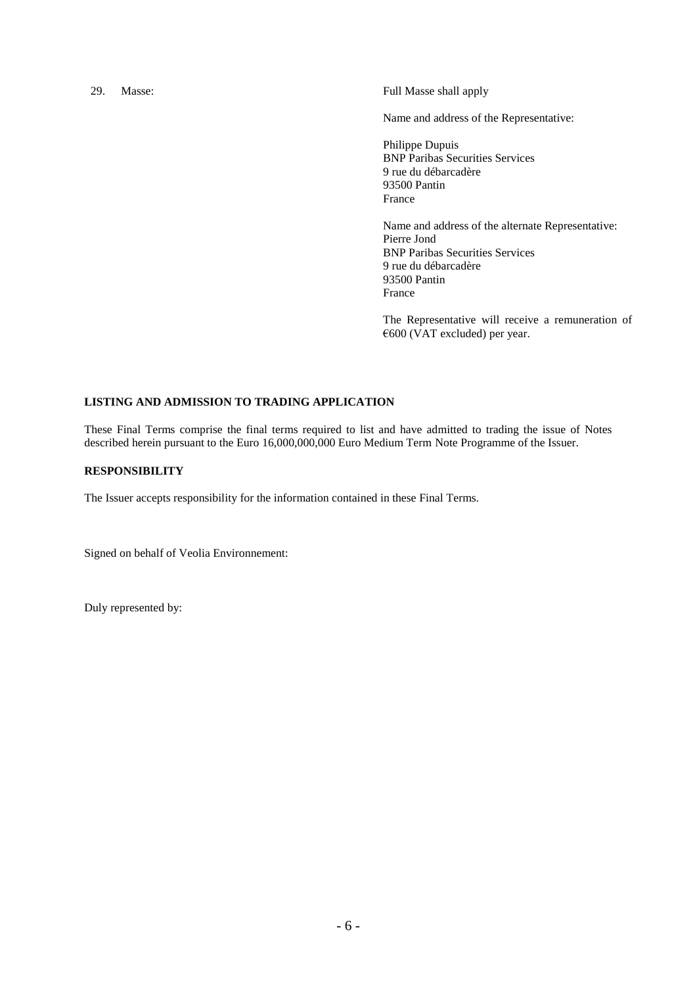29. Masse: Full Masse shall apply

Name and address of the Representative:

Philippe Dupuis BNP Paribas Securities Services 9 rue du débarcadère 93500 Pantin France

Name and address of the alternate Representative: Pierre Jond BNP Paribas Securities Services 9 rue du débarcadère 93500 Pantin France

The Representative will receive a remuneration of €600 (VAT excluded) per year.

#### **LISTING AND ADMISSION TO TRADING APPLICATION**

These Final Terms comprise the final terms required to list and have admitted to trading the issue of Notes described herein pursuant to the Euro 16,000,000,000 Euro Medium Term Note Programme of the Issuer.

## **RESPONSIBILITY**

The Issuer accepts responsibility for the information contained in these Final Terms.

Signed on behalf of Veolia Environnement:

Duly represented by: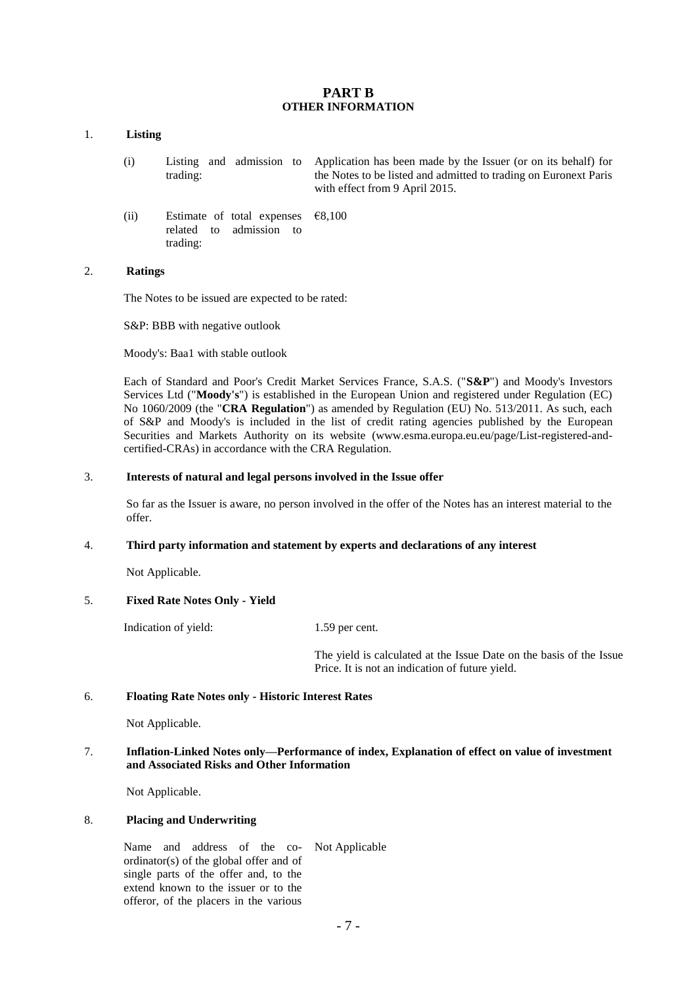## **PART B OTHER INFORMATION**

#### 1. **Listing**

- (i) Listing and admission to trading: Application has been made by the Issuer (or on its behalf) for the Notes to be listed and admitted to trading on Euronext Paris with effect from 9 April 2015.
- (ii) Estimate of total expenses related to admission to trading: €8,100

### 2. **Ratings**

The Notes to be issued are expected to be rated:

S&P: BBB with negative outlook

Moody's: Baa1 with stable outlook

Each of Standard and Poor's Credit Market Services France, S.A.S. ("**S&P**") and Moody's Investors Services Ltd ("**Moody's**") is established in the European Union and registered under Regulation (EC) No 1060/2009 (the "**CRA Regulation**") as amended by Regulation (EU) No. 513/2011. As such, each of S&P and Moody's is included in the list of credit rating agencies published by the European Securities and Markets Authority on its website [\(www.esma.europa.eu.eu/page/List-registered-and](http://www.esma.europa.eu.eu/page/List-registered-and-certified-CRAs)[certified-CRAs\)](http://www.esma.europa.eu.eu/page/List-registered-and-certified-CRAs) in accordance with the CRA Regulation.

#### 3. **Interests of natural and legal persons involved in the Issue offer**

So far as the Issuer is aware, no person involved in the offer of the Notes has an interest material to the offer.

### 4. **Third party information and statement by experts and declarations of any interest**

Not Applicable.

## 5. **Fixed Rate Notes Only - Yield**

Indication of yield: 1.59 per cent.

The yield is calculated at the Issue Date on the basis of the Issue Price. It is not an indication of future yield.

#### 6. **Floating Rate Notes only - Historic Interest Rates**

Not Applicable.

## 7. **Inflation-Linked Notes only—Performance of index, Explanation of effect on value of investment and Associated Risks and Other Information**

Not Applicable.

#### 8. **Placing and Underwriting**

Name and address of the co-Not Applicableordinator(s) of the global offer and of single parts of the offer and, to the extend known to the issuer or to the offeror, of the placers in the various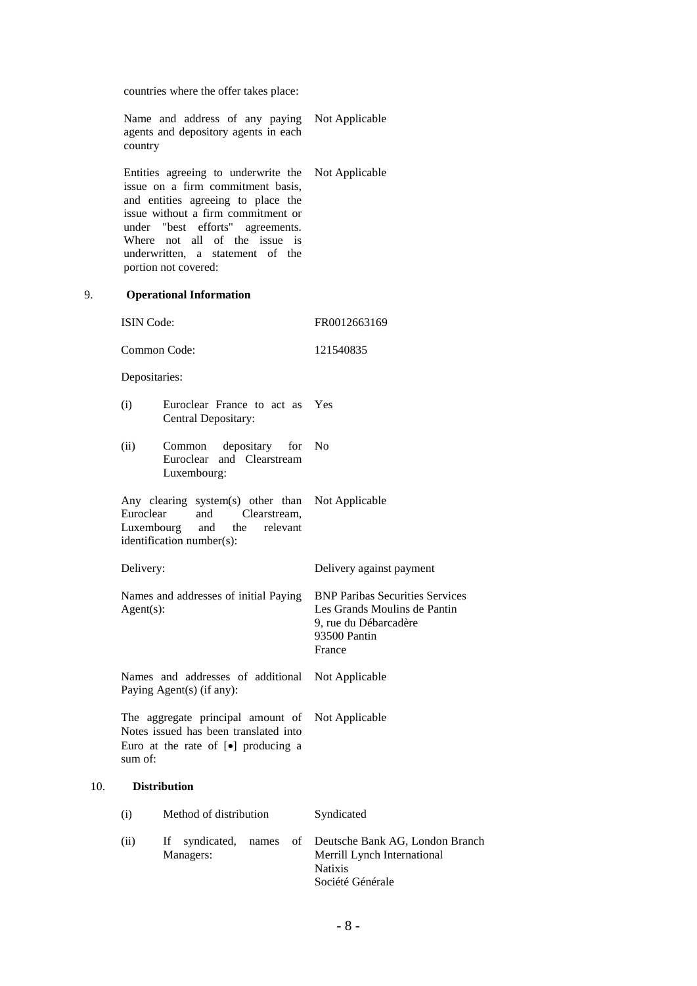countries where the offer takes place:

|     | Name and address of any paying Not Applicable<br>agents and depository agents in each<br>country                                           |                                                                                                                                                                                                                                                                                             |                                                                                                                           |  |  |
|-----|--------------------------------------------------------------------------------------------------------------------------------------------|---------------------------------------------------------------------------------------------------------------------------------------------------------------------------------------------------------------------------------------------------------------------------------------------|---------------------------------------------------------------------------------------------------------------------------|--|--|
|     |                                                                                                                                            | Entities agreeing to underwrite the<br>issue on a firm commitment basis,<br>and entities agreeing to place the<br>issue without a firm commitment or<br>under "best efforts"<br>agreements.<br>Where not all<br>of the issue is<br>underwritten, a statement of the<br>portion not covered: | Not Applicable                                                                                                            |  |  |
| 9.  | <b>Operational Information</b>                                                                                                             |                                                                                                                                                                                                                                                                                             |                                                                                                                           |  |  |
|     | <b>ISIN Code:</b>                                                                                                                          |                                                                                                                                                                                                                                                                                             | FR0012663169                                                                                                              |  |  |
|     |                                                                                                                                            | Common Code:                                                                                                                                                                                                                                                                                | 121540835                                                                                                                 |  |  |
|     |                                                                                                                                            | Depositaries:                                                                                                                                                                                                                                                                               |                                                                                                                           |  |  |
|     | (i)                                                                                                                                        | Euroclear France to act as<br>Central Depositary:                                                                                                                                                                                                                                           | Yes                                                                                                                       |  |  |
|     | (ii)                                                                                                                                       | depositary<br>for<br>Common<br>Euroclear and Clearstream<br>Luxembourg:                                                                                                                                                                                                                     | N <sub>o</sub>                                                                                                            |  |  |
|     | Any clearing system(s) other than<br>Euroclear<br>and<br>Clearstream,<br>and<br>the<br>Luxembourg<br>relevant<br>identification number(s): |                                                                                                                                                                                                                                                                                             | Not Applicable                                                                                                            |  |  |
|     | Delivery:                                                                                                                                  |                                                                                                                                                                                                                                                                                             | Delivery against payment                                                                                                  |  |  |
|     | Names and addresses of initial Paying<br>$Agent(s)$ :                                                                                      |                                                                                                                                                                                                                                                                                             | <b>BNP Paribas Securities Services</b><br>Les Grands Moulins de Pantin<br>9, rue du Débarcadère<br>93500 Pantin<br>France |  |  |
|     | Names and addresses of additional<br>Paying Agent(s) (if any):                                                                             |                                                                                                                                                                                                                                                                                             | Not Applicable                                                                                                            |  |  |
|     | The aggregate principal amount of<br>Notes issued has been translated into<br>Euro at the rate of [ $\bullet$ ] producing a<br>sum of:     |                                                                                                                                                                                                                                                                                             | Not Applicable                                                                                                            |  |  |
| 10. |                                                                                                                                            | <b>Distribution</b>                                                                                                                                                                                                                                                                         |                                                                                                                           |  |  |
|     | (i)                                                                                                                                        | Method of distribution                                                                                                                                                                                                                                                                      | Syndicated                                                                                                                |  |  |
|     | (ii)                                                                                                                                       | syndicated,<br>of<br>If<br>names<br>Managers:                                                                                                                                                                                                                                               | Deutsche Bank AG, London Branch<br>Merrill Lynch International<br><b>Natixis</b><br>Société Générale                      |  |  |